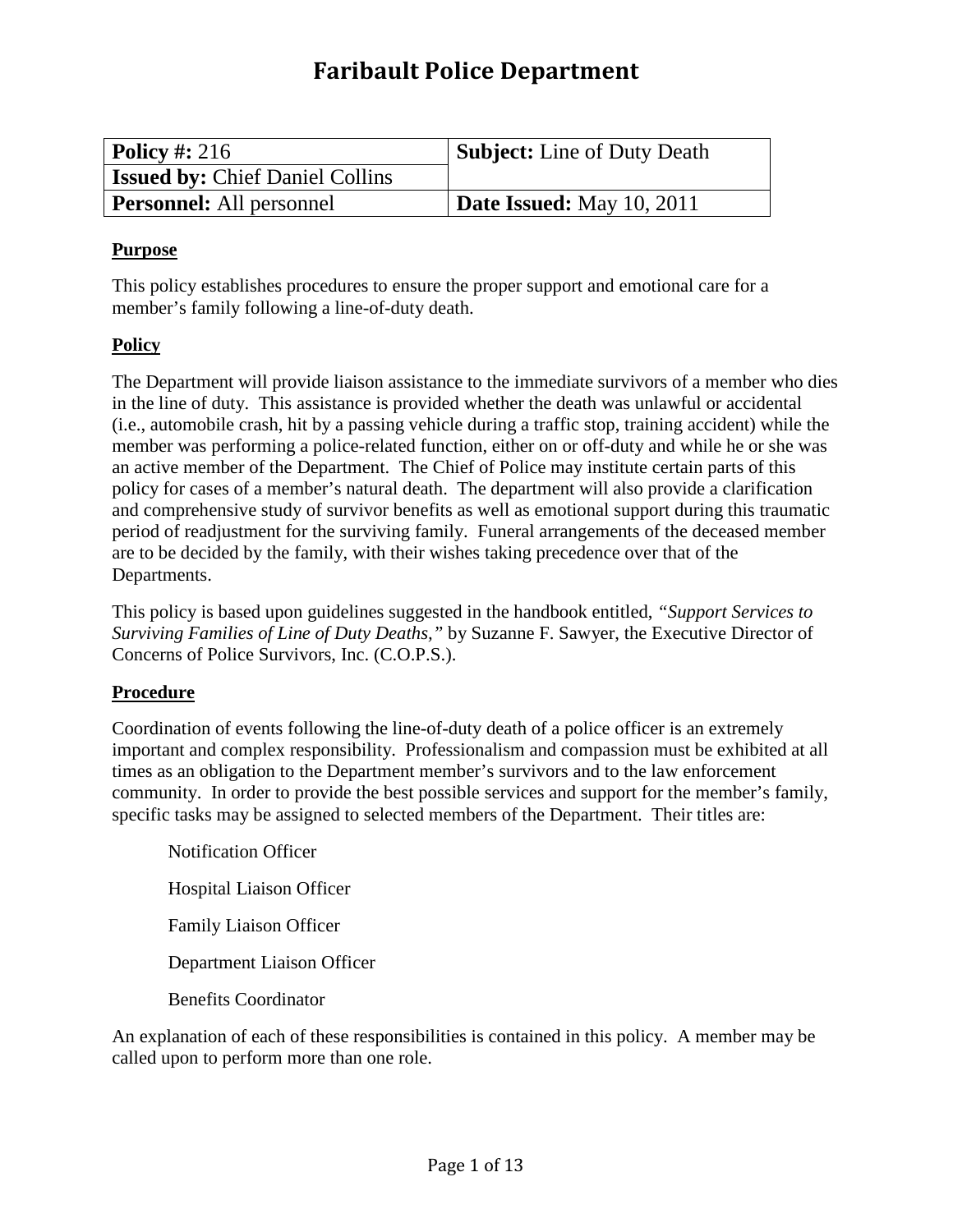# **Faribault Police Department**

| $\vert$ Policy #: 216                  | Subject: Line of Duty Death |
|----------------------------------------|-----------------------------|
| <b>Issued by: Chief Daniel Collins</b> |                             |
| <b>Personnel:</b> All personnel        | Date Issued: May $10, 2011$ |

#### **Purpose**

This policy establishes procedures to ensure the proper support and emotional care for a member's family following a line-of-duty death.

## **Policy**

The Department will provide liaison assistance to the immediate survivors of a member who dies in the line of duty. This assistance is provided whether the death was unlawful or accidental (i.e., automobile crash, hit by a passing vehicle during a traffic stop, training accident) while the member was performing a police-related function, either on or off-duty and while he or she was an active member of the Department. The Chief of Police may institute certain parts of this policy for cases of a member's natural death. The department will also provide a clarification and comprehensive study of survivor benefits as well as emotional support during this traumatic period of readjustment for the surviving family. Funeral arrangements of the deceased member are to be decided by the family, with their wishes taking precedence over that of the Departments.

This policy is based upon guidelines suggested in the handbook entitled, *"Support Services to Surviving Families of Line of Duty Deaths,"* by Suzanne F. Sawyer, the Executive Director of Concerns of Police Survivors, Inc. (C.O.P.S.).

## **Procedure**

Coordination of events following the line-of-duty death of a police officer is an extremely important and complex responsibility. Professionalism and compassion must be exhibited at all times as an obligation to the Department member's survivors and to the law enforcement community. In order to provide the best possible services and support for the member's family, specific tasks may be assigned to selected members of the Department. Their titles are:

Notification Officer Hospital Liaison Officer Family Liaison Officer Department Liaison Officer Benefits Coordinator

An explanation of each of these responsibilities is contained in this policy. A member may be called upon to perform more than one role.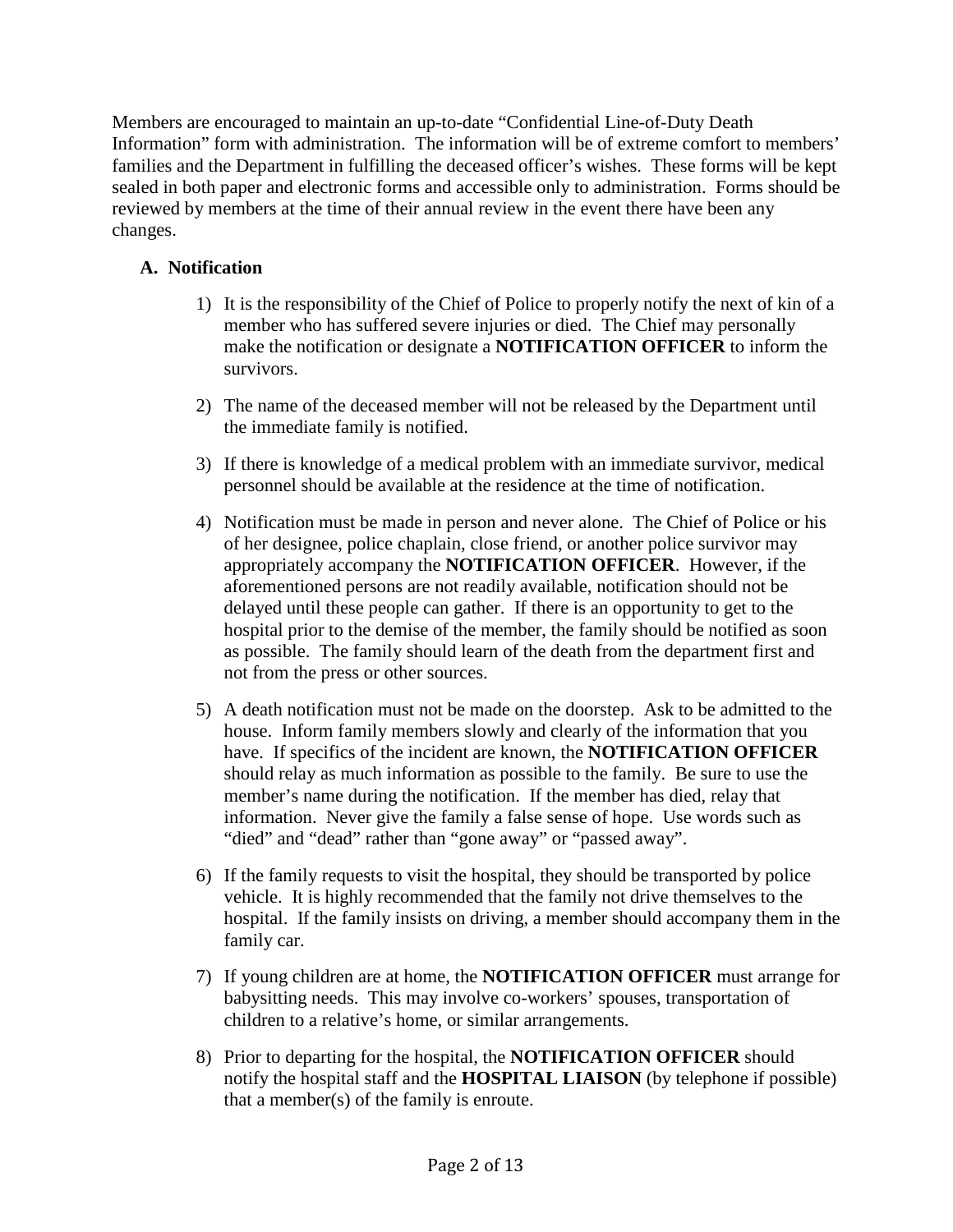Members are encouraged to maintain an up-to-date "Confidential Line-of-Duty Death Information" form with administration. The information will be of extreme comfort to members' families and the Department in fulfilling the deceased officer's wishes. These forms will be kept sealed in both paper and electronic forms and accessible only to administration. Forms should be reviewed by members at the time of their annual review in the event there have been any changes.

## **A. Notification**

- 1) It is the responsibility of the Chief of Police to properly notify the next of kin of a member who has suffered severe injuries or died. The Chief may personally make the notification or designate a **NOTIFICATION OFFICER** to inform the survivors.
- 2) The name of the deceased member will not be released by the Department until the immediate family is notified.
- 3) If there is knowledge of a medical problem with an immediate survivor, medical personnel should be available at the residence at the time of notification.
- 4) Notification must be made in person and never alone. The Chief of Police or his of her designee, police chaplain, close friend, or another police survivor may appropriately accompany the **NOTIFICATION OFFICER**. However, if the aforementioned persons are not readily available, notification should not be delayed until these people can gather. If there is an opportunity to get to the hospital prior to the demise of the member, the family should be notified as soon as possible. The family should learn of the death from the department first and not from the press or other sources.
- 5) A death notification must not be made on the doorstep. Ask to be admitted to the house. Inform family members slowly and clearly of the information that you have. If specifics of the incident are known, the **NOTIFICATION OFFICER** should relay as much information as possible to the family. Be sure to use the member's name during the notification. If the member has died, relay that information. Never give the family a false sense of hope. Use words such as "died" and "dead" rather than "gone away" or "passed away".
- 6) If the family requests to visit the hospital, they should be transported by police vehicle. It is highly recommended that the family not drive themselves to the hospital. If the family insists on driving, a member should accompany them in the family car.
- 7) If young children are at home, the **NOTIFICATION OFFICER** must arrange for babysitting needs. This may involve co-workers' spouses, transportation of children to a relative's home, or similar arrangements.
- 8) Prior to departing for the hospital, the **NOTIFICATION OFFICER** should notify the hospital staff and the **HOSPITAL LIAISON** (by telephone if possible) that a member(s) of the family is enroute.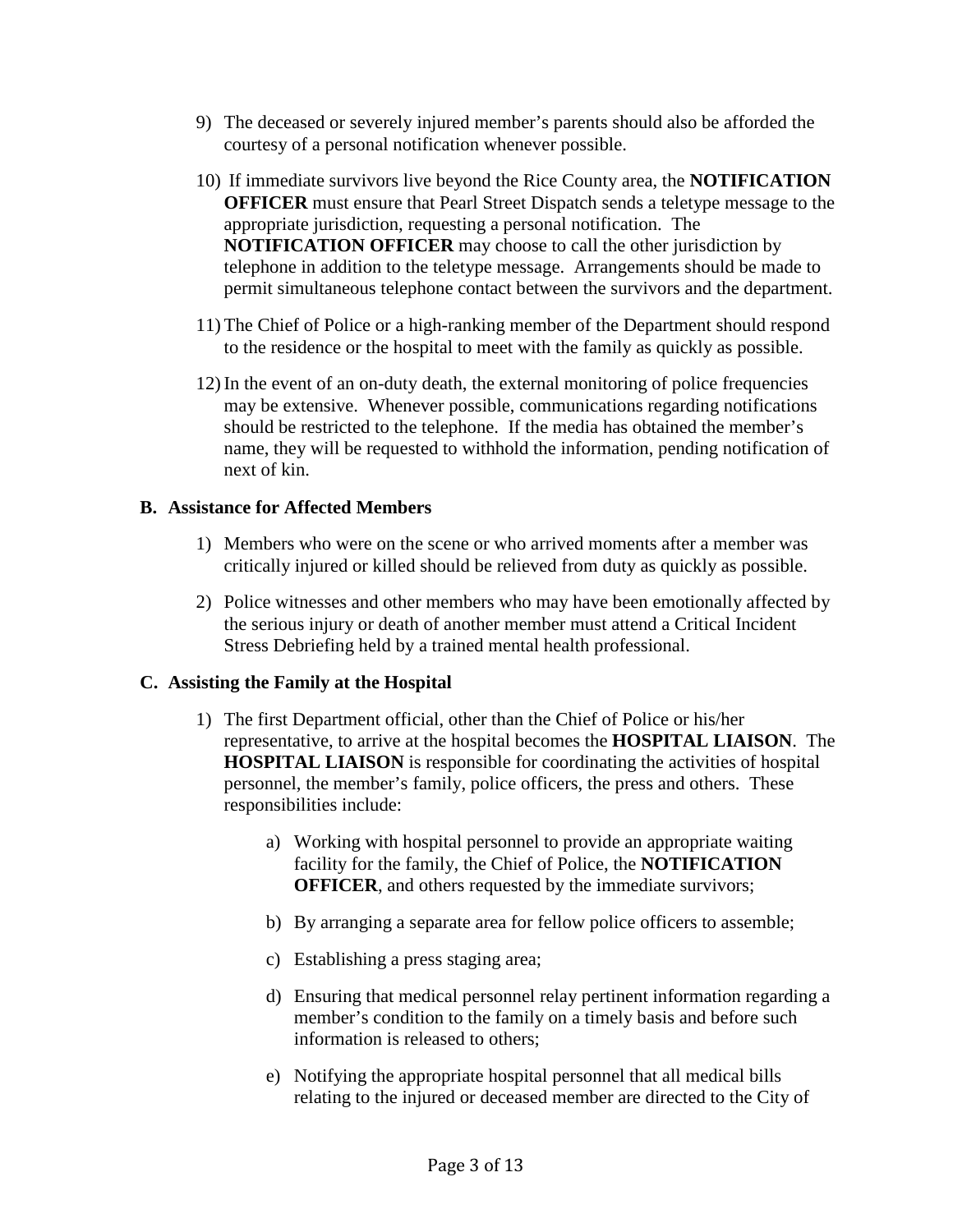- 9) The deceased or severely injured member's parents should also be afforded the courtesy of a personal notification whenever possible.
- 10) If immediate survivors live beyond the Rice County area, the **NOTIFICATION OFFICER** must ensure that Pearl Street Dispatch sends a teletype message to the appropriate jurisdiction, requesting a personal notification. The **NOTIFICATION OFFICER** may choose to call the other jurisdiction by telephone in addition to the teletype message. Arrangements should be made to permit simultaneous telephone contact between the survivors and the department.
- 11) The Chief of Police or a high-ranking member of the Department should respond to the residence or the hospital to meet with the family as quickly as possible.
- 12) In the event of an on-duty death, the external monitoring of police frequencies may be extensive. Whenever possible, communications regarding notifications should be restricted to the telephone. If the media has obtained the member's name, they will be requested to withhold the information, pending notification of next of kin.

#### **B. Assistance for Affected Members**

- 1) Members who were on the scene or who arrived moments after a member was critically injured or killed should be relieved from duty as quickly as possible.
- 2) Police witnesses and other members who may have been emotionally affected by the serious injury or death of another member must attend a Critical Incident Stress Debriefing held by a trained mental health professional.

#### **C. Assisting the Family at the Hospital**

- 1) The first Department official, other than the Chief of Police or his/her representative, to arrive at the hospital becomes the **HOSPITAL LIAISON**. The **HOSPITAL LIAISON** is responsible for coordinating the activities of hospital personnel, the member's family, police officers, the press and others. These responsibilities include:
	- a) Working with hospital personnel to provide an appropriate waiting facility for the family, the Chief of Police, the **NOTIFICATION OFFICER**, and others requested by the immediate survivors;
	- b) By arranging a separate area for fellow police officers to assemble;
	- c) Establishing a press staging area;
	- d) Ensuring that medical personnel relay pertinent information regarding a member's condition to the family on a timely basis and before such information is released to others;
	- e) Notifying the appropriate hospital personnel that all medical bills relating to the injured or deceased member are directed to the City of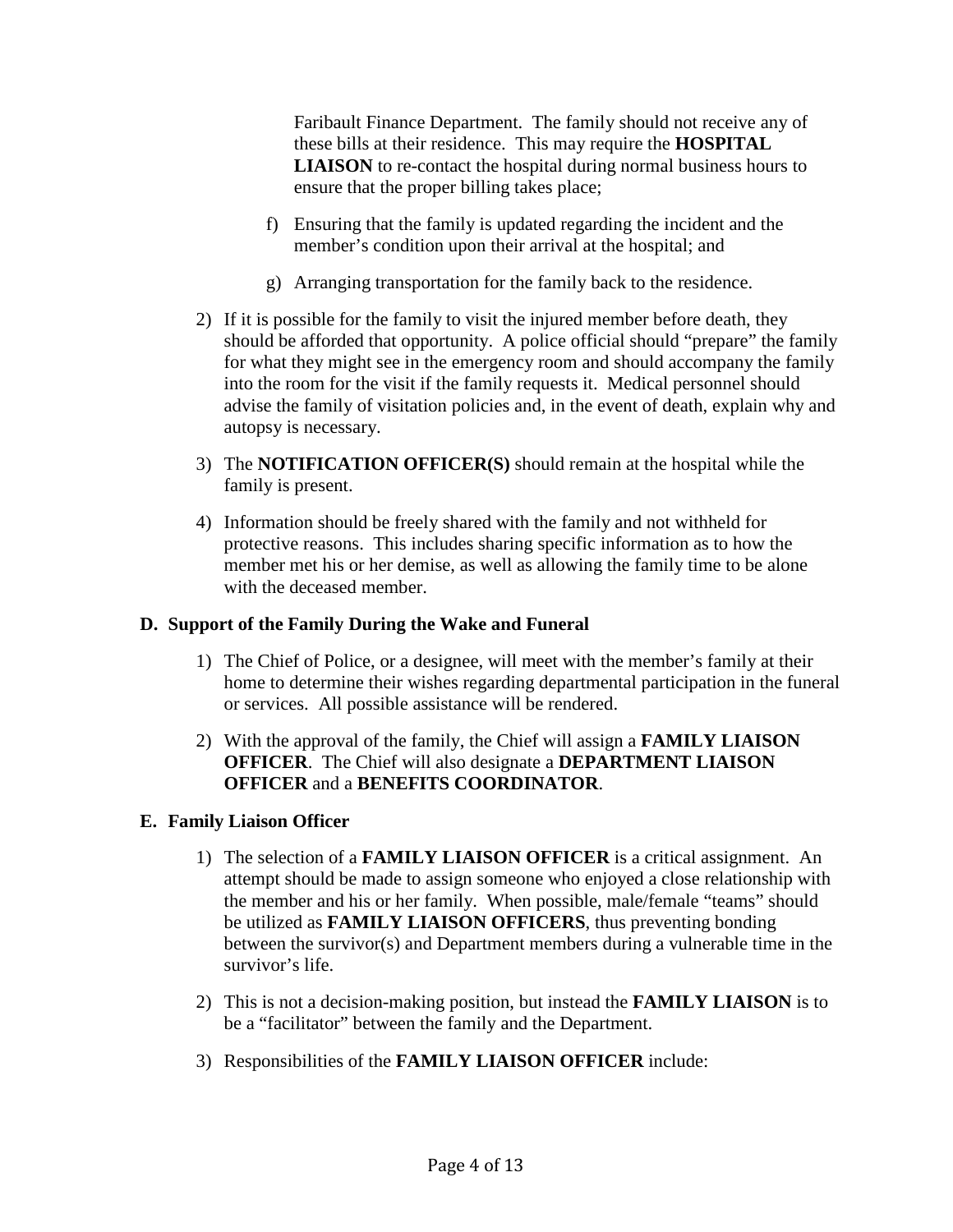Faribault Finance Department. The family should not receive any of these bills at their residence. This may require the **HOSPITAL LIAISON** to re-contact the hospital during normal business hours to ensure that the proper billing takes place;

- f) Ensuring that the family is updated regarding the incident and the member's condition upon their arrival at the hospital; and
- g) Arranging transportation for the family back to the residence.
- 2) If it is possible for the family to visit the injured member before death, they should be afforded that opportunity. A police official should "prepare" the family for what they might see in the emergency room and should accompany the family into the room for the visit if the family requests it. Medical personnel should advise the family of visitation policies and, in the event of death, explain why and autopsy is necessary.
- 3) The **NOTIFICATION OFFICER(S)** should remain at the hospital while the family is present.
- 4) Information should be freely shared with the family and not withheld for protective reasons. This includes sharing specific information as to how the member met his or her demise, as well as allowing the family time to be alone with the deceased member.

## **D. Support of the Family During the Wake and Funeral**

- 1) The Chief of Police, or a designee, will meet with the member's family at their home to determine their wishes regarding departmental participation in the funeral or services. All possible assistance will be rendered.
- 2) With the approval of the family, the Chief will assign a **FAMILY LIAISON OFFICER**. The Chief will also designate a **DEPARTMENT LIAISON OFFICER** and a **BENEFITS COORDINATOR**.

## **E. Family Liaison Officer**

- 1) The selection of a **FAMILY LIAISON OFFICER** is a critical assignment. An attempt should be made to assign someone who enjoyed a close relationship with the member and his or her family. When possible, male/female "teams" should be utilized as **FAMILY LIAISON OFFICERS**, thus preventing bonding between the survivor(s) and Department members during a vulnerable time in the survivor's life.
- 2) This is not a decision-making position, but instead the **FAMILY LIAISON** is to be a "facilitator" between the family and the Department.
- 3) Responsibilities of the **FAMILY LIAISON OFFICER** include: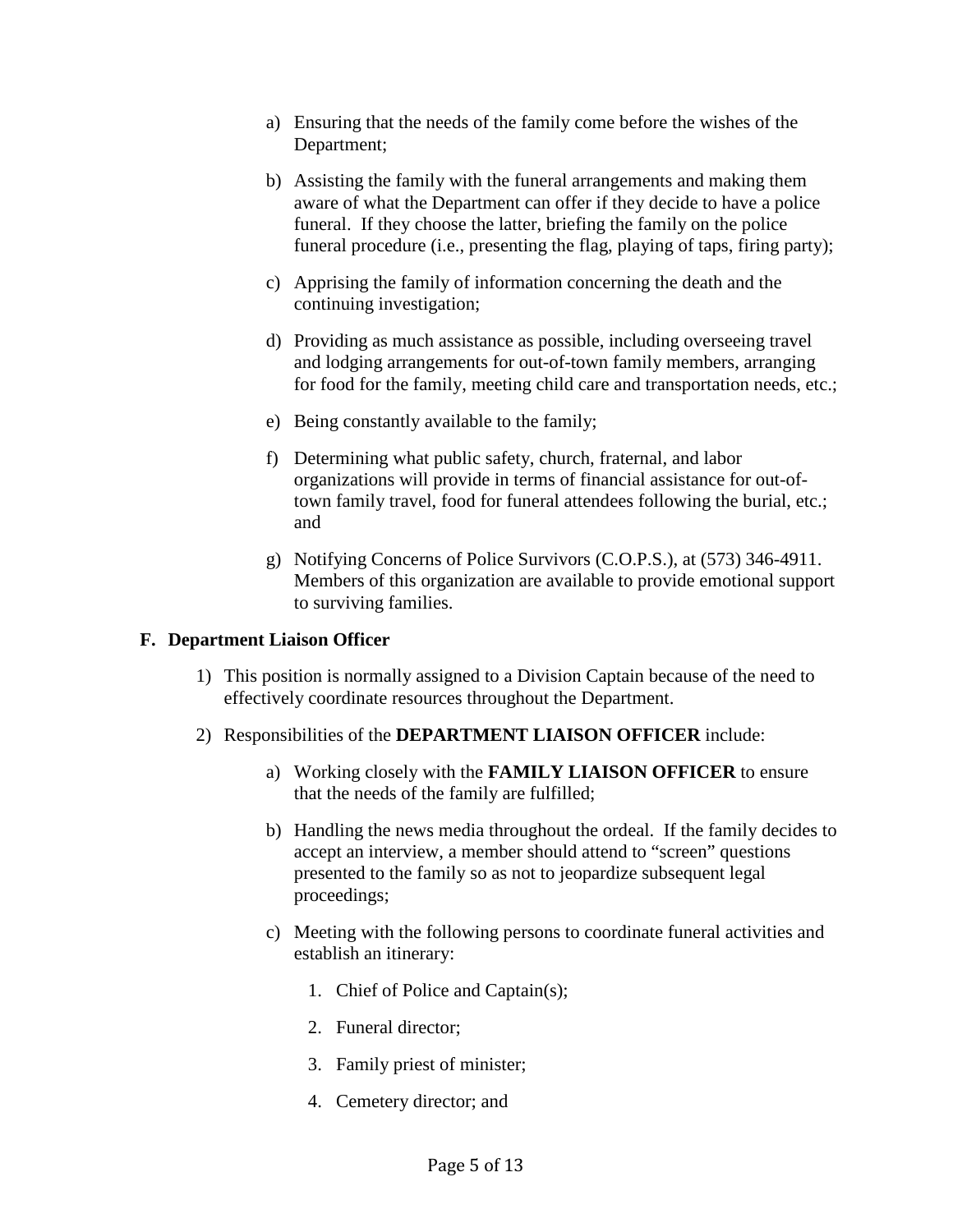- a) Ensuring that the needs of the family come before the wishes of the Department;
- b) Assisting the family with the funeral arrangements and making them aware of what the Department can offer if they decide to have a police funeral. If they choose the latter, briefing the family on the police funeral procedure (i.e., presenting the flag, playing of taps, firing party);
- c) Apprising the family of information concerning the death and the continuing investigation;
- d) Providing as much assistance as possible, including overseeing travel and lodging arrangements for out-of-town family members, arranging for food for the family, meeting child care and transportation needs, etc.;
- e) Being constantly available to the family;
- f) Determining what public safety, church, fraternal, and labor organizations will provide in terms of financial assistance for out-oftown family travel, food for funeral attendees following the burial, etc.; and
- g) Notifying Concerns of Police Survivors (C.O.P.S.), at (573) 346-4911. Members of this organization are available to provide emotional support to surviving families.

## **F. Department Liaison Officer**

- 1) This position is normally assigned to a Division Captain because of the need to effectively coordinate resources throughout the Department.
- 2) Responsibilities of the **DEPARTMENT LIAISON OFFICER** include:
	- a) Working closely with the **FAMILY LIAISON OFFICER** to ensure that the needs of the family are fulfilled;
	- b) Handling the news media throughout the ordeal. If the family decides to accept an interview, a member should attend to "screen" questions presented to the family so as not to jeopardize subsequent legal proceedings;
	- c) Meeting with the following persons to coordinate funeral activities and establish an itinerary:
		- 1. Chief of Police and Captain(s);
		- 2. Funeral director;
		- 3. Family priest of minister;
		- 4. Cemetery director; and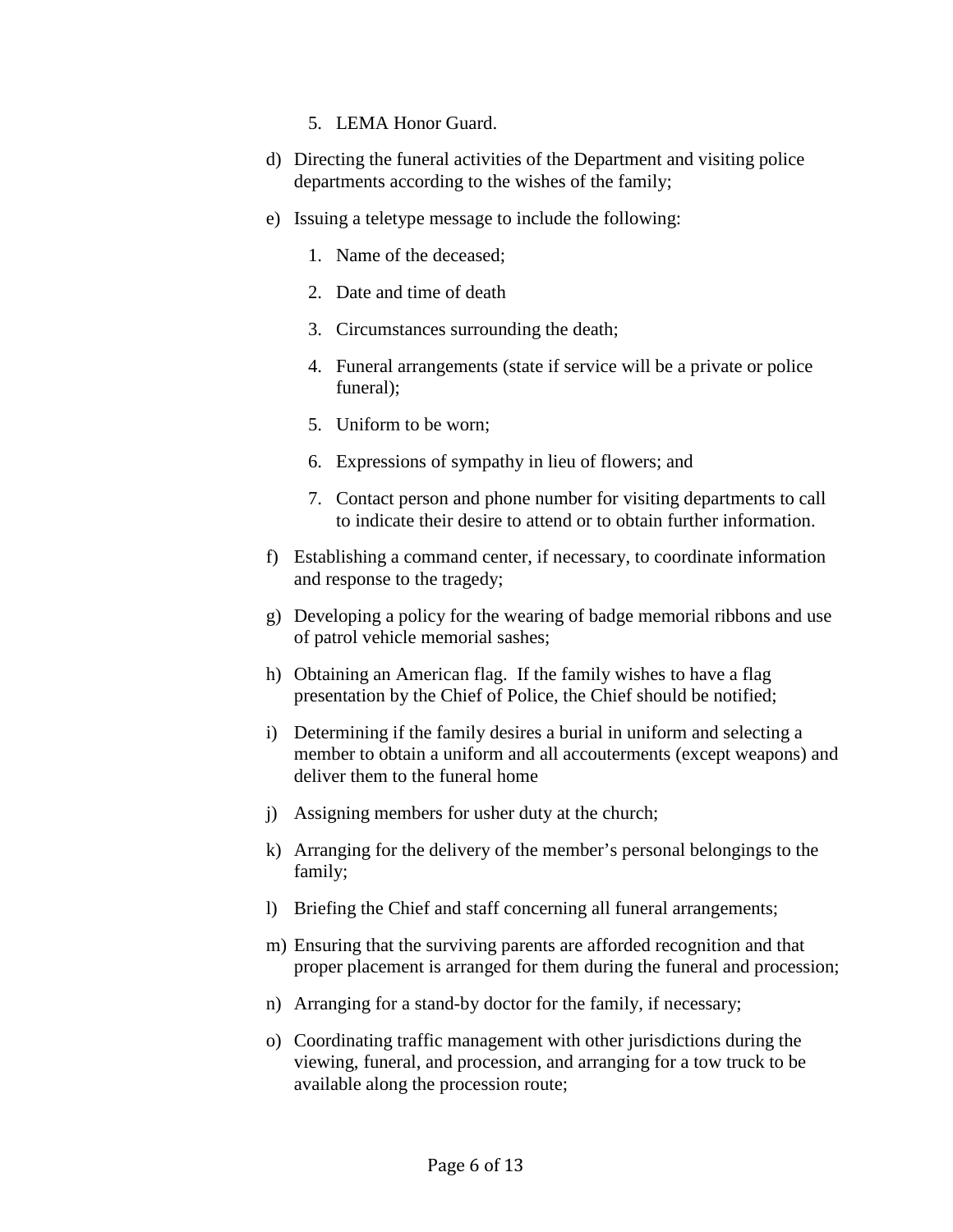- 5. LEMA Honor Guard.
- d) Directing the funeral activities of the Department and visiting police departments according to the wishes of the family;
- e) Issuing a teletype message to include the following:
	- 1. Name of the deceased;
	- 2. Date and time of death
	- 3. Circumstances surrounding the death;
	- 4. Funeral arrangements (state if service will be a private or police funeral);
	- 5. Uniform to be worn;
	- 6. Expressions of sympathy in lieu of flowers; and
	- 7. Contact person and phone number for visiting departments to call to indicate their desire to attend or to obtain further information.
- f) Establishing a command center, if necessary, to coordinate information and response to the tragedy;
- g) Developing a policy for the wearing of badge memorial ribbons and use of patrol vehicle memorial sashes;
- h) Obtaining an American flag. If the family wishes to have a flag presentation by the Chief of Police, the Chief should be notified;
- i) Determining if the family desires a burial in uniform and selecting a member to obtain a uniform and all accouterments (except weapons) and deliver them to the funeral home
- j) Assigning members for usher duty at the church;
- k) Arranging for the delivery of the member's personal belongings to the family;
- l) Briefing the Chief and staff concerning all funeral arrangements;
- m) Ensuring that the surviving parents are afforded recognition and that proper placement is arranged for them during the funeral and procession;
- n) Arranging for a stand-by doctor for the family, if necessary;
- o) Coordinating traffic management with other jurisdictions during the viewing, funeral, and procession, and arranging for a tow truck to be available along the procession route;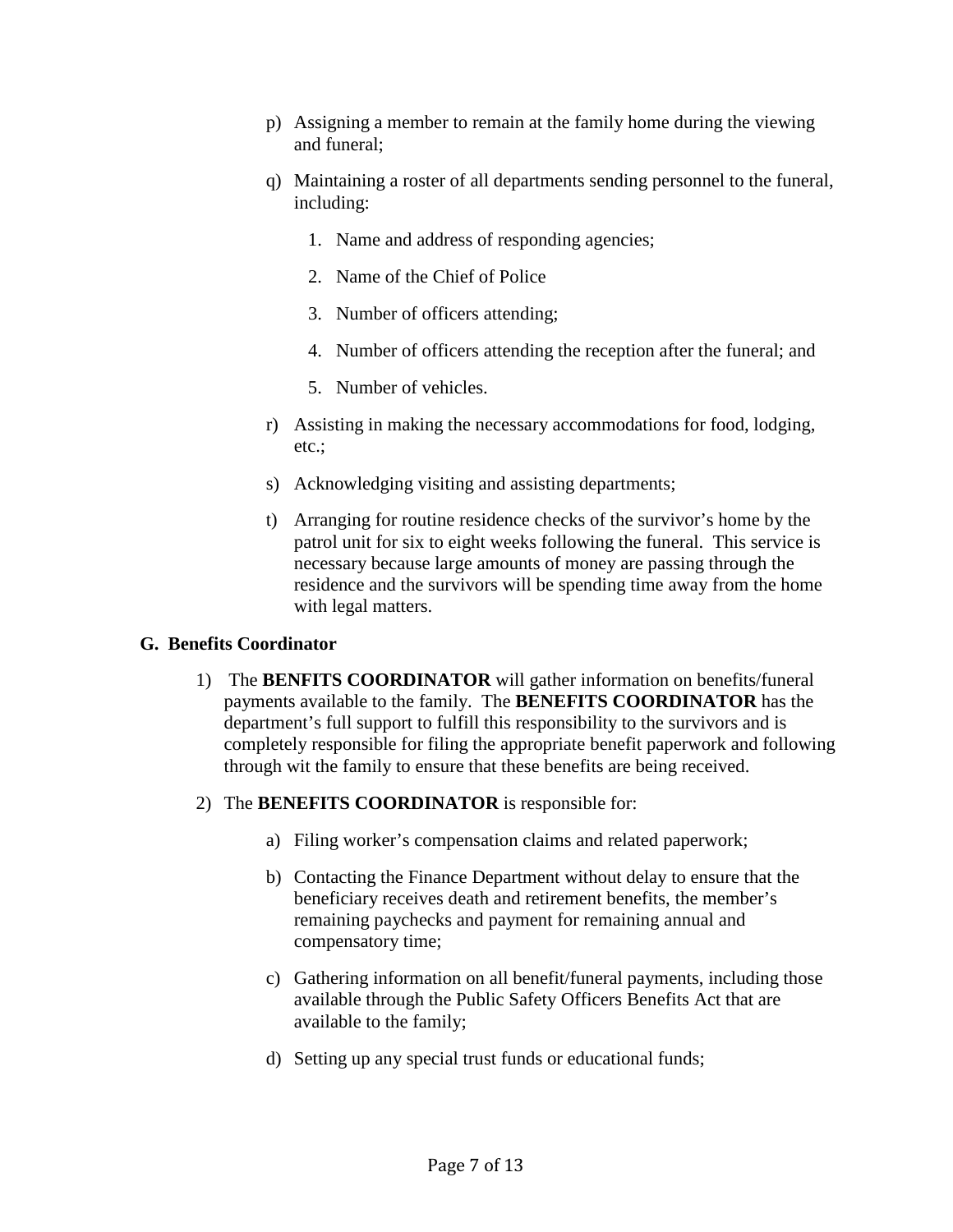- p) Assigning a member to remain at the family home during the viewing and funeral;
- q) Maintaining a roster of all departments sending personnel to the funeral, including:
	- 1. Name and address of responding agencies;
	- 2. Name of the Chief of Police
	- 3. Number of officers attending;
	- 4. Number of officers attending the reception after the funeral; and
	- 5. Number of vehicles.
- r) Assisting in making the necessary accommodations for food, lodging, etc.;
- s) Acknowledging visiting and assisting departments;
- t) Arranging for routine residence checks of the survivor's home by the patrol unit for six to eight weeks following the funeral. This service is necessary because large amounts of money are passing through the residence and the survivors will be spending time away from the home with legal matters.

## **G. Benefits Coordinator**

- 1) The **BENFITS COORDINATOR** will gather information on benefits/funeral payments available to the family. The **BENEFITS COORDINATOR** has the department's full support to fulfill this responsibility to the survivors and is completely responsible for filing the appropriate benefit paperwork and following through wit the family to ensure that these benefits are being received.
- 2) The **BENEFITS COORDINATOR** is responsible for:
	- a) Filing worker's compensation claims and related paperwork;
	- b) Contacting the Finance Department without delay to ensure that the beneficiary receives death and retirement benefits, the member's remaining paychecks and payment for remaining annual and compensatory time;
	- c) Gathering information on all benefit/funeral payments, including those available through the Public Safety Officers Benefits Act that are available to the family;
	- d) Setting up any special trust funds or educational funds;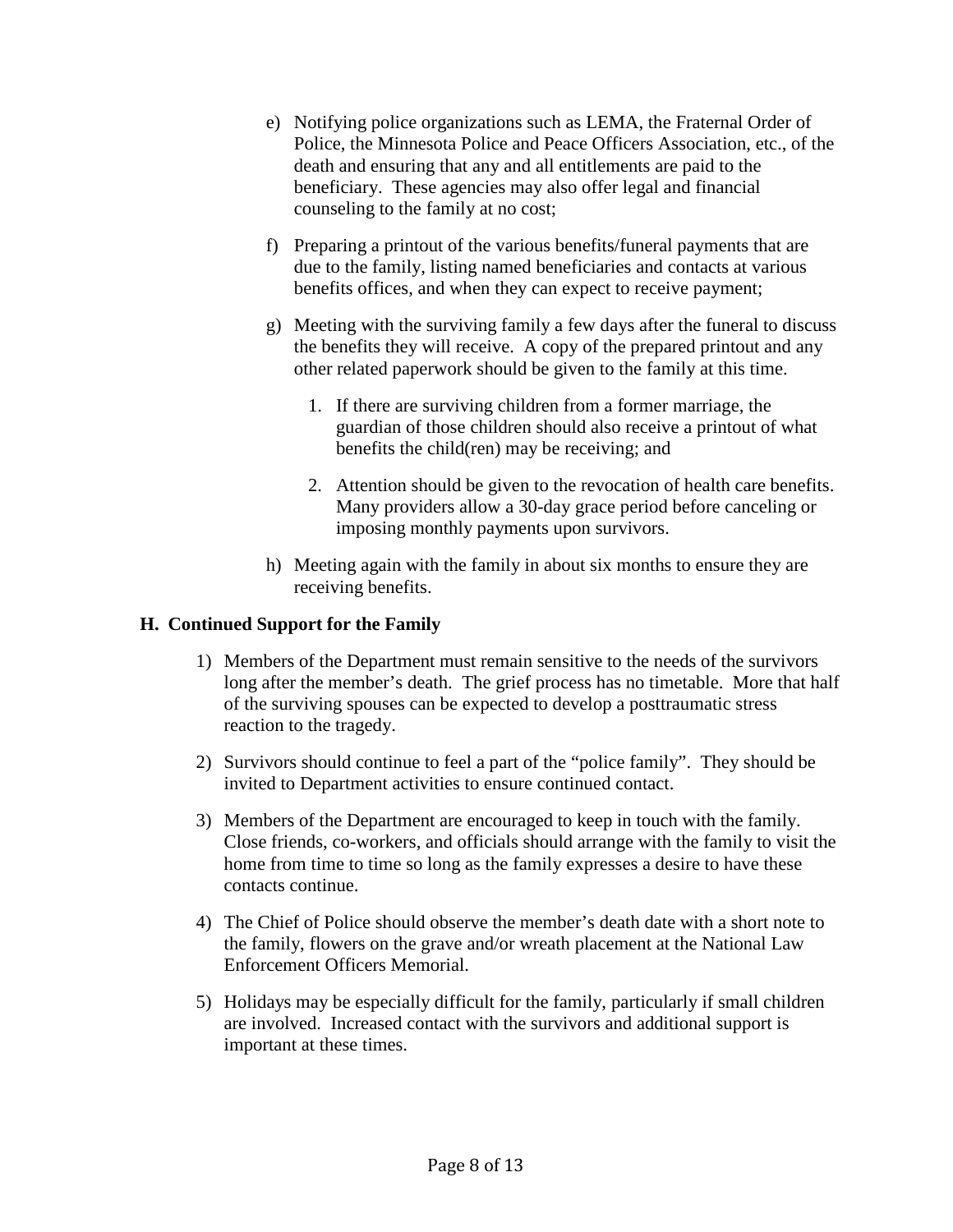- e) Notifying police organizations such as LEMA, the Fraternal Order of Police, the Minnesota Police and Peace Officers Association, etc., of the death and ensuring that any and all entitlements are paid to the beneficiary. These agencies may also offer legal and financial counseling to the family at no cost;
- f) Preparing a printout of the various benefits/funeral payments that are due to the family, listing named beneficiaries and contacts at various benefits offices, and when they can expect to receive payment;
- g) Meeting with the surviving family a few days after the funeral to discuss the benefits they will receive. A copy of the prepared printout and any other related paperwork should be given to the family at this time.
	- 1. If there are surviving children from a former marriage, the guardian of those children should also receive a printout of what benefits the child(ren) may be receiving; and
	- 2. Attention should be given to the revocation of health care benefits. Many providers allow a 30-day grace period before canceling or imposing monthly payments upon survivors.
- h) Meeting again with the family in about six months to ensure they are receiving benefits.

## **H. Continued Support for the Family**

- 1) Members of the Department must remain sensitive to the needs of the survivors long after the member's death. The grief process has no timetable. More that half of the surviving spouses can be expected to develop a posttraumatic stress reaction to the tragedy.
- 2) Survivors should continue to feel a part of the "police family". They should be invited to Department activities to ensure continued contact.
- 3) Members of the Department are encouraged to keep in touch with the family. Close friends, co-workers, and officials should arrange with the family to visit the home from time to time so long as the family expresses a desire to have these contacts continue.
- 4) The Chief of Police should observe the member's death date with a short note to the family, flowers on the grave and/or wreath placement at the National Law Enforcement Officers Memorial.
- 5) Holidays may be especially difficult for the family, particularly if small children are involved. Increased contact with the survivors and additional support is important at these times.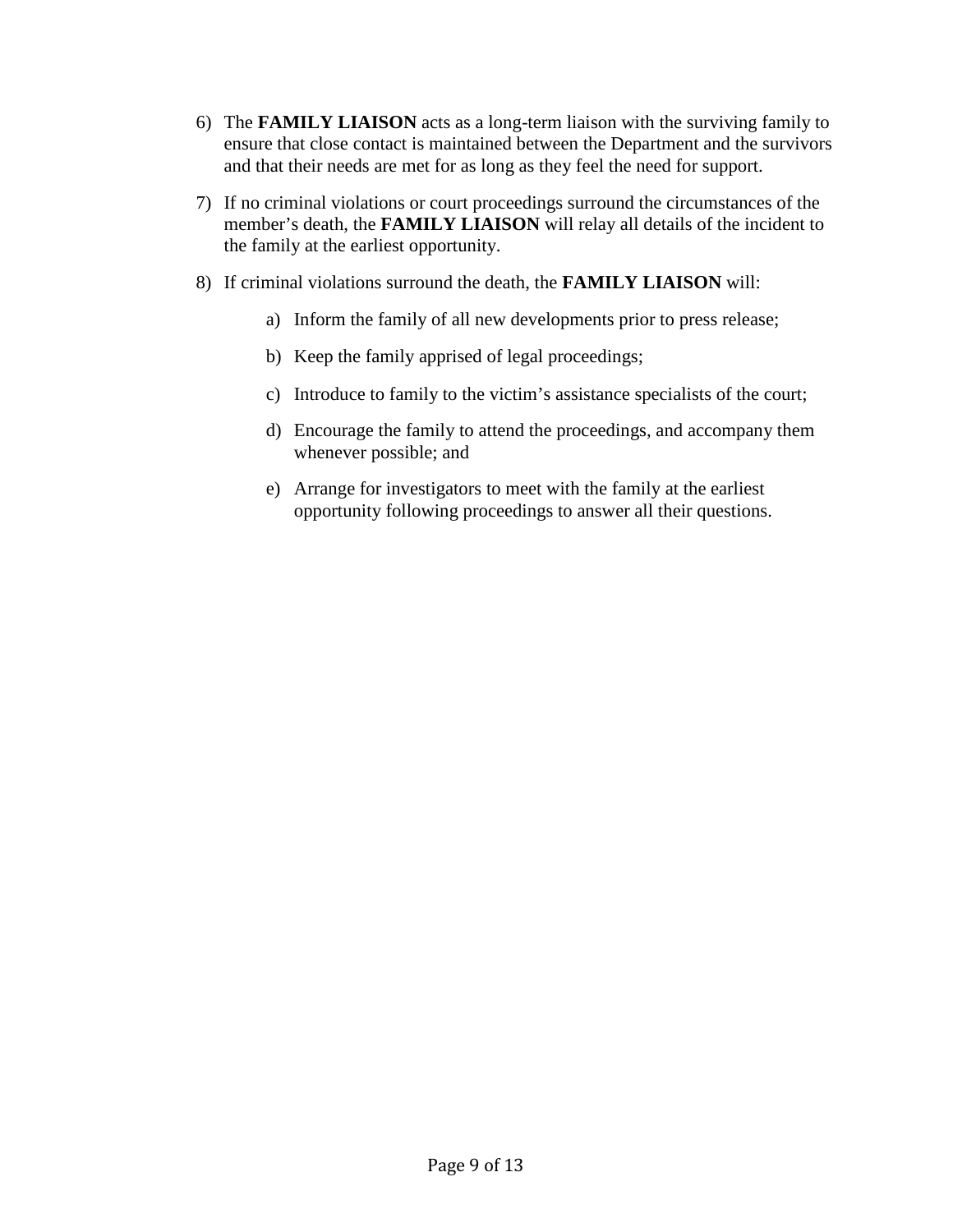- 6) The **FAMILY LIAISON** acts as a long-term liaison with the surviving family to ensure that close contact is maintained between the Department and the survivors and that their needs are met for as long as they feel the need for support.
- 7) If no criminal violations or court proceedings surround the circumstances of the member's death, the **FAMILY LIAISON** will relay all details of the incident to the family at the earliest opportunity.
- 8) If criminal violations surround the death, the **FAMILY LIAISON** will:
	- a) Inform the family of all new developments prior to press release;
	- b) Keep the family apprised of legal proceedings;
	- c) Introduce to family to the victim's assistance specialists of the court;
	- d) Encourage the family to attend the proceedings, and accompany them whenever possible; and
	- e) Arrange for investigators to meet with the family at the earliest opportunity following proceedings to answer all their questions.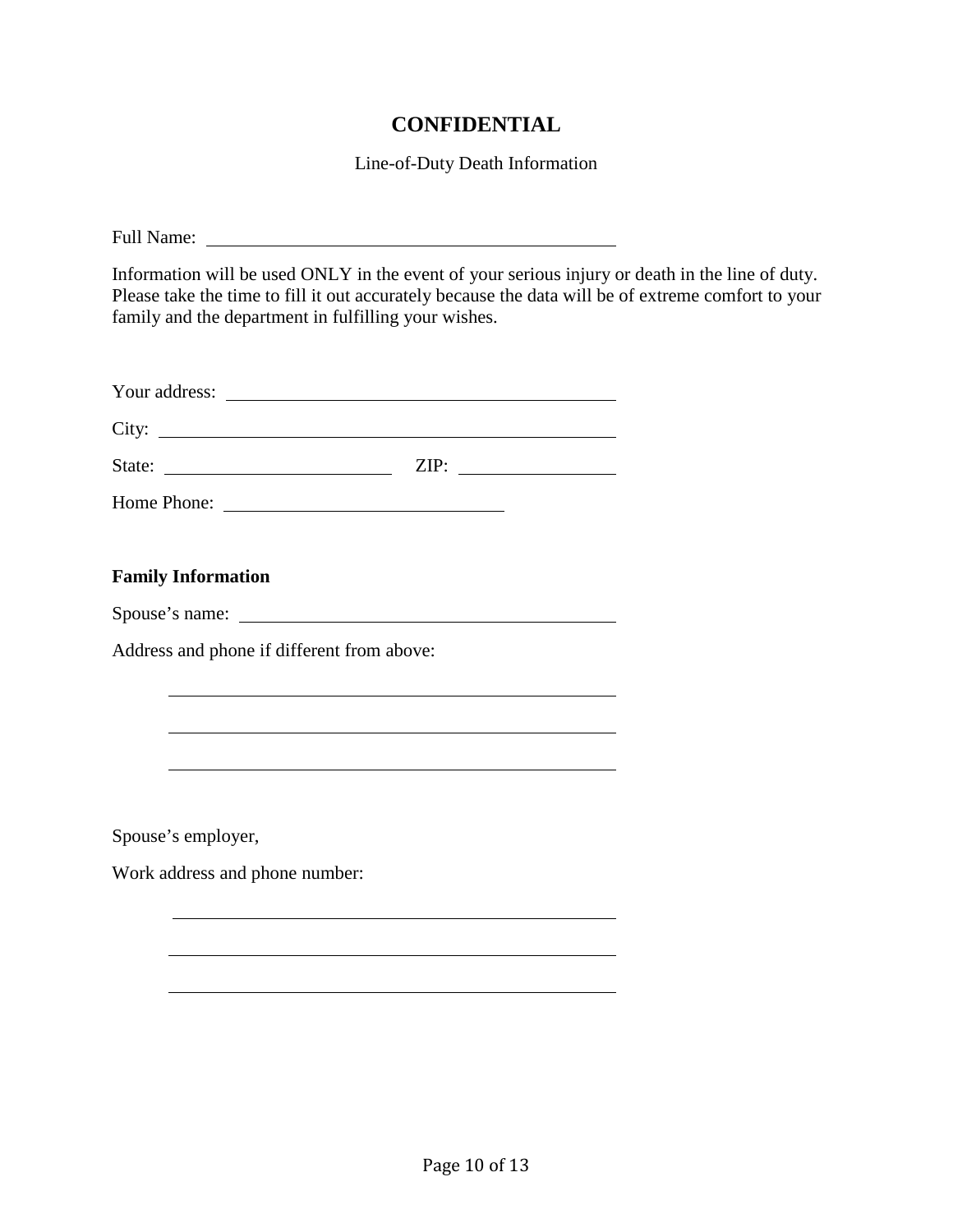## **CONFIDENTIAL**

Line-of-Duty Death Information

| Information will be used ONLY in the event of your serious injury or death in the line of duty.<br>Please take the time to fill it out accurately because the data will be of extreme comfort to your<br>family and the department in fulfilling your wishes. |
|---------------------------------------------------------------------------------------------------------------------------------------------------------------------------------------------------------------------------------------------------------------|
|                                                                                                                                                                                                                                                               |
|                                                                                                                                                                                                                                                               |
|                                                                                                                                                                                                                                                               |
|                                                                                                                                                                                                                                                               |
|                                                                                                                                                                                                                                                               |
| <b>Family Information</b>                                                                                                                                                                                                                                     |
|                                                                                                                                                                                                                                                               |
| Address and phone if different from above:                                                                                                                                                                                                                    |
|                                                                                                                                                                                                                                                               |
|                                                                                                                                                                                                                                                               |
|                                                                                                                                                                                                                                                               |
|                                                                                                                                                                                                                                                               |
| Spouse's employer,                                                                                                                                                                                                                                            |
| Work address and phone number:                                                                                                                                                                                                                                |
|                                                                                                                                                                                                                                                               |
|                                                                                                                                                                                                                                                               |
|                                                                                                                                                                                                                                                               |
|                                                                                                                                                                                                                                                               |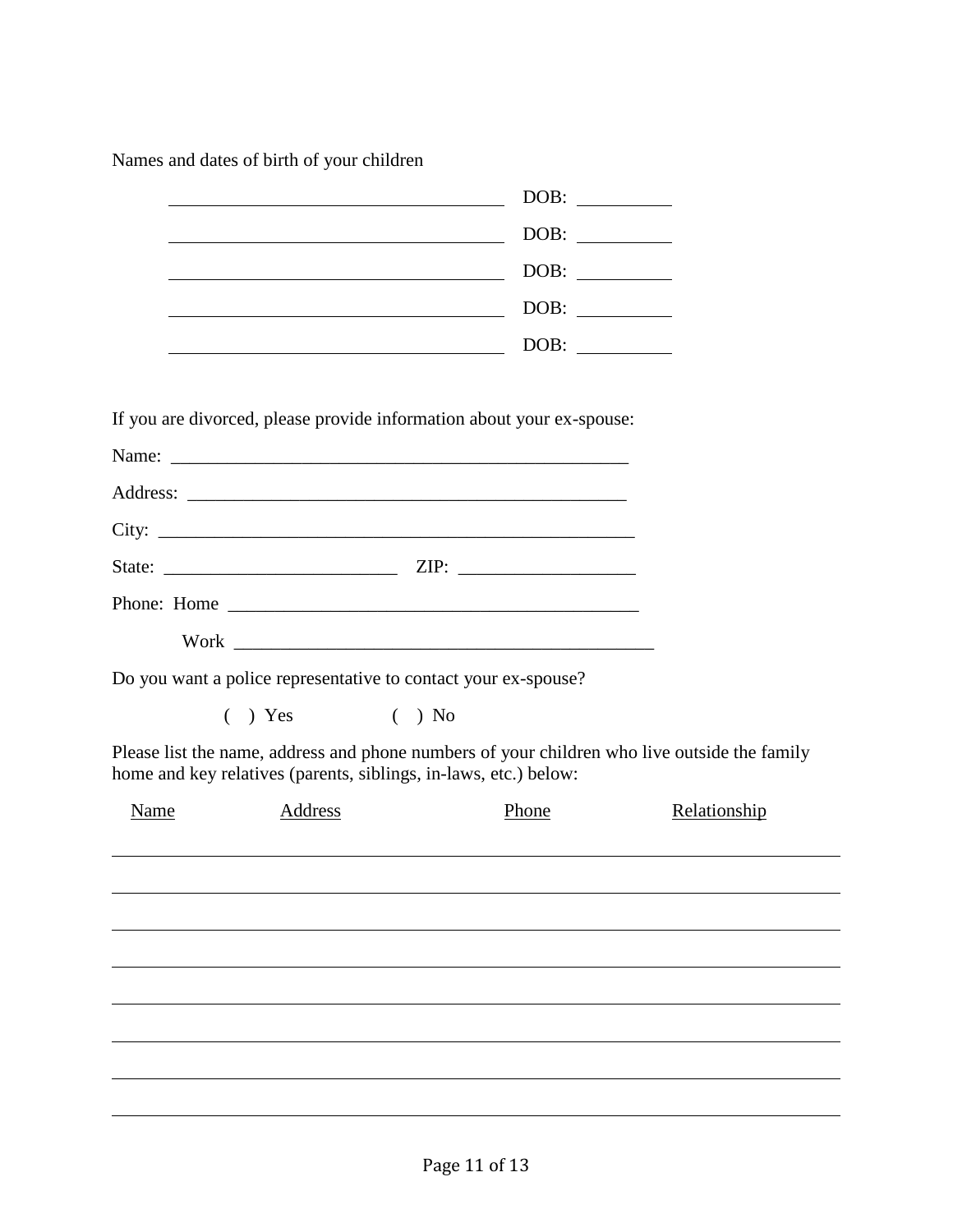Names and dates of birth of your children

|      |                                                                  | DOB:                                                                                         |              |  |
|------|------------------------------------------------------------------|----------------------------------------------------------------------------------------------|--------------|--|
|      | <u> 1989 - Johann Barn, mars an t-Amerikaansk kommunister (</u>  |                                                                                              |              |  |
|      | <u> 1989 - Johann Barnett, fransk politiker (</u>                |                                                                                              |              |  |
|      | <u> 1989 - Johann Barn, mars eta bainar eta idazlea (</u>        |                                                                                              |              |  |
|      |                                                                  | DOB:                                                                                         |              |  |
|      |                                                                  |                                                                                              |              |  |
|      |                                                                  | If you are divorced, please provide information about your ex-spouse:                        |              |  |
|      |                                                                  |                                                                                              |              |  |
|      |                                                                  |                                                                                              |              |  |
|      |                                                                  |                                                                                              |              |  |
|      |                                                                  |                                                                                              |              |  |
|      |                                                                  |                                                                                              |              |  |
|      |                                                                  |                                                                                              |              |  |
|      | Do you want a police representative to contact your ex-spouse?   |                                                                                              |              |  |
|      | $( )$ Yes $( )$ No                                               |                                                                                              |              |  |
|      | home and key relatives (parents, siblings, in-laws, etc.) below: | Please list the name, address and phone numbers of your children who live outside the family |              |  |
| Name | Address                                                          | Phone                                                                                        | Relationship |  |
|      |                                                                  |                                                                                              |              |  |
|      |                                                                  |                                                                                              |              |  |
|      |                                                                  |                                                                                              |              |  |
|      |                                                                  |                                                                                              |              |  |
|      |                                                                  |                                                                                              |              |  |
|      |                                                                  |                                                                                              |              |  |
|      |                                                                  |                                                                                              |              |  |
|      |                                                                  |                                                                                              |              |  |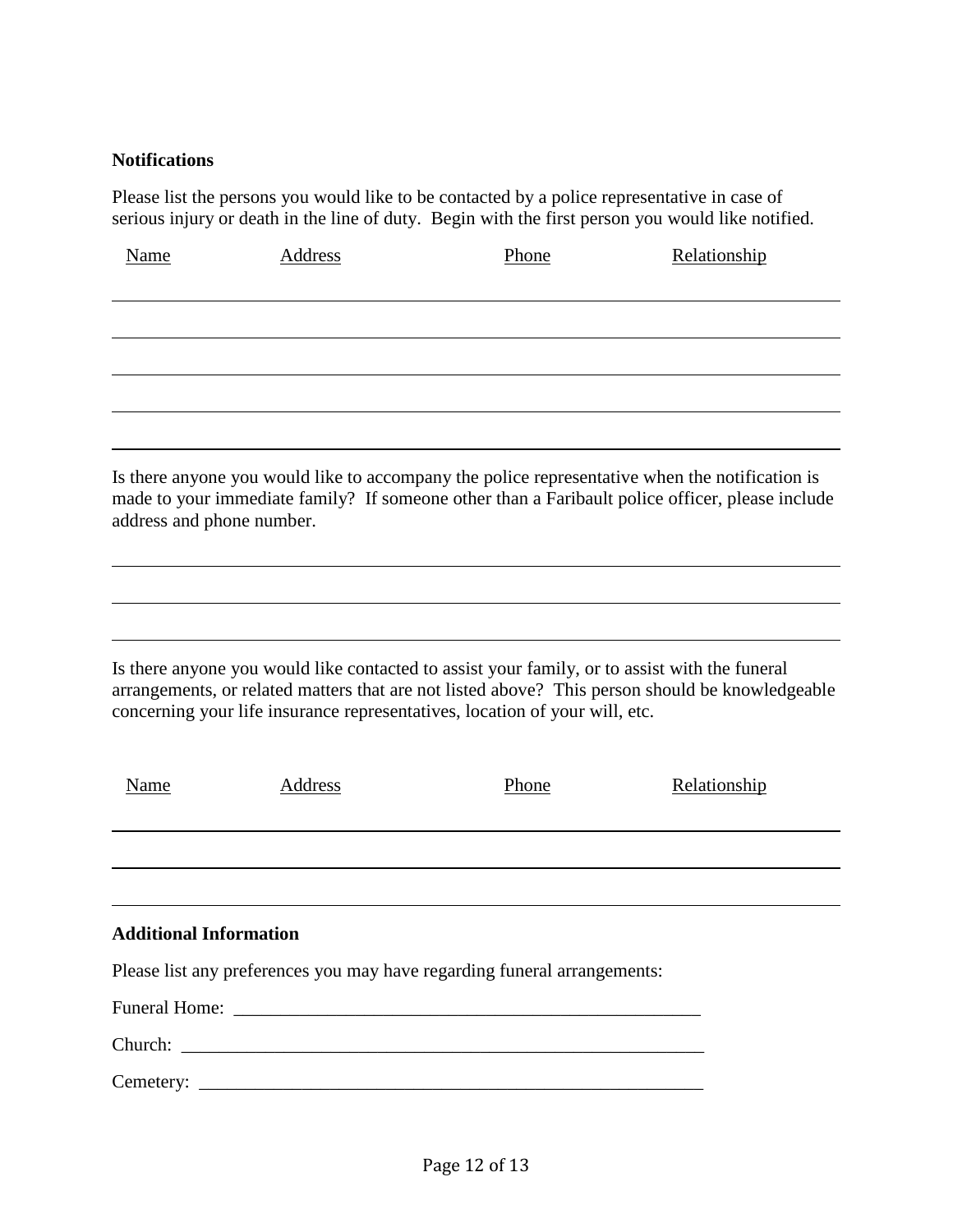## **Notifications**

Please list the persons you would like to be contacted by a police representative in case of serious injury or death in the line of duty. Begin with the first person you would like notified.

| Name                          | Address        | Phone                                                                                                                                                                        | Relationship                                                                                                                                                                                      |
|-------------------------------|----------------|------------------------------------------------------------------------------------------------------------------------------------------------------------------------------|---------------------------------------------------------------------------------------------------------------------------------------------------------------------------------------------------|
|                               |                |                                                                                                                                                                              |                                                                                                                                                                                                   |
|                               |                |                                                                                                                                                                              |                                                                                                                                                                                                   |
| address and phone number.     |                |                                                                                                                                                                              | Is there anyone you would like to accompany the police representative when the notification is<br>made to your immediate family? If someone other than a Faribault police officer, please include |
|                               |                |                                                                                                                                                                              |                                                                                                                                                                                                   |
|                               |                | Is there anyone you would like contacted to assist your family, or to assist with the funeral<br>concerning your life insurance representatives, location of your will, etc. | arrangements, or related matters that are not listed above? This person should be knowledgeable                                                                                                   |
| <b>Name</b>                   | <u>Address</u> | Phone                                                                                                                                                                        | Relationship                                                                                                                                                                                      |
|                               |                |                                                                                                                                                                              |                                                                                                                                                                                                   |
| <b>Additional Information</b> |                |                                                                                                                                                                              |                                                                                                                                                                                                   |
|                               |                | Please list any preferences you may have regarding funeral arrangements:                                                                                                     |                                                                                                                                                                                                   |
|                               |                |                                                                                                                                                                              |                                                                                                                                                                                                   |
|                               |                |                                                                                                                                                                              |                                                                                                                                                                                                   |
|                               |                |                                                                                                                                                                              |                                                                                                                                                                                                   |